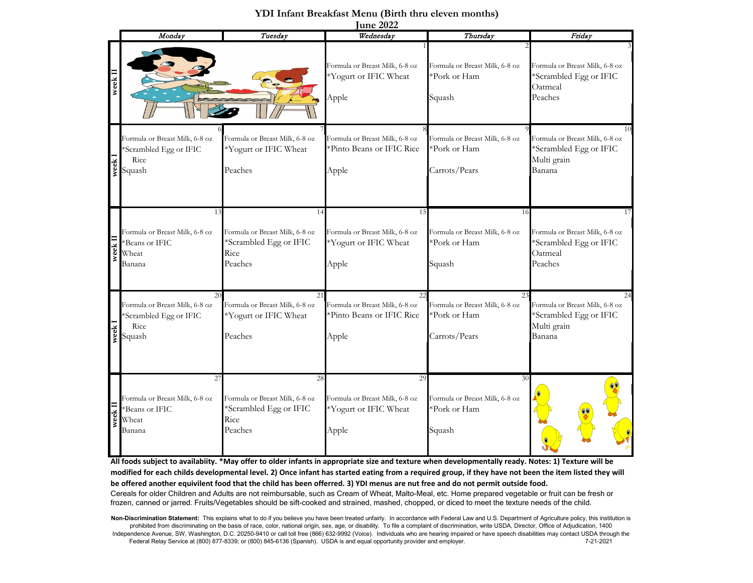|               |                                                                                 |                                                                                   | <u> une 2022</u>                                                           |                                                                       |                                                                                         |
|---------------|---------------------------------------------------------------------------------|-----------------------------------------------------------------------------------|----------------------------------------------------------------------------|-----------------------------------------------------------------------|-----------------------------------------------------------------------------------------|
|               | Monday                                                                          | Tuesday                                                                           | Wednesday                                                                  | Thursday                                                              | Friday                                                                                  |
| $w$ eek $\Pi$ |                                                                                 |                                                                                   | Formula or Breast Milk, 6-8 oz<br>*Yogurt or IFIC Wheat<br>Apple           | Formula or Breast Milk, 6-8 oz<br>*Pork or Ham<br>Squash              | Formula or Breast Milk, 6-8 oz<br>*Scrambled Egg or IFIC<br>Oatmeal<br>Peaches          |
| week          | Formula or Breast Milk, 6-8 oz<br>Scrambled Egg or IFIC<br>Rice<br>Squash       | Formula or Breast Milk, 6-8 oz<br>*Yogurt or IFIC Wheat<br>Peaches                | Formula or Breast Milk, 6-8 oz<br>*Pinto Beans or IFIC Rice<br>Apple       | Formula or Breast Milk, 6-8 oz<br>*Pork or Ham<br>Carrots/Pears       | 10<br>Formula or Breast Milk, 6-8 oz<br>*Scrambled Egg or IFIC<br>Multi grain<br>Banana |
| week II       | 13<br>Formula or Breast Milk, 6-8 oz<br>*Beans or IFIC<br>Wheat<br>Banana       | 14<br>Formula or Breast Milk, 6-8 oz<br>*Scrambled Egg or IFIC<br>Rice<br>Peaches | 15<br>Formula or Breast Milk, 6-8 oz<br>*Yogurt or IFIC Wheat<br>Apple     | 16<br>Formula or Breast Milk, 6-8 oz<br>*Pork or Ham<br>Squash        | 17<br>Formula or Breast Milk, 6-8 oz<br>*Scrambled Egg or IFIC<br>Oatmeal<br>Peaches    |
| week          | 20<br>Formula or Breast Milk, 6-8 oz<br>Scrambled Egg or IFIC<br>Rice<br>Squash | 21<br>Formula or Breast Milk, 6-8 oz<br>*Yogurt or IFIC Wheat<br>Peaches          | 22<br>Formula or Breast Milk, 6-8 oz<br>*Pinto Beans or IFIC Rice<br>Apple | 23<br>Formula or Breast Milk, 6-8 oz<br>*Pork or Ham<br>Carrots/Pears | 24<br>Formula or Breast Milk, 6-8 oz<br>*Scrambled Egg or IFIC<br>Multi grain<br>Banana |
| week II       | 27<br>Formula or Breast Milk, 6-8 oz<br>*Beans or IFIC<br>Wheat<br>Banana       | 28<br>Formula or Breast Milk, 6-8 oz<br>*Scrambled Egg or IFIC<br>Rice<br>Peaches | 29<br>Formula or Breast Milk, 6-8 oz<br>*Yogurt or IFIC Wheat<br>Apple     | 30<br>Formula or Breast Milk, 6-8 oz<br>*Pork or Ham<br>Squash        |                                                                                         |

## **YDI Infant Breakfast Menu (Birth thru eleven months)**

Non-Discrimination Statement: This explains what to do if you believe you have been treated unfairly. In accordance with Federal Law and U.S. Department of Agriculture policy, this institution is

prohibited from discriminating on the basis of race, color, national origin, sex, age, or disability. To file a complaint of discrimination, write USDA, Director, Office of Adjudication, 1400 Independence Avenue, SW, Washington, D.C. 20250-9410 or call toll free (866) 632-9992 (Voice). Individuals who are hearing impaired or have speech disabilities may contact USDA through the Federal Relay Service at (800) 877-8339; or (800) 845-6136 (Spanish). USDA is and equal opportunity provider and employer. 7-21-2021

**All foods subject to availabiity. \*May offer to older infants in appropriate size and texture when developmentally ready. Notes: 1) Texture will be modified for each childs developmental level. 2) Once infant has started eating from a required group, if they have not been the item listed they will** 

Cereals for older Children and Adults are not reimbursable, such as Cream of Wheat, Malto-Meal, etc. Home prepared vegetable or fruit can be fresh or frozen, canned or jarred. Fruits/Vegetables should be sift-cooked and strained, mashed, chopped, or diced to meet the texture needs of the child.

**be offered another equivilent food that the child has been offerred. 3) YDI menus are nut free and do not permit outside food.**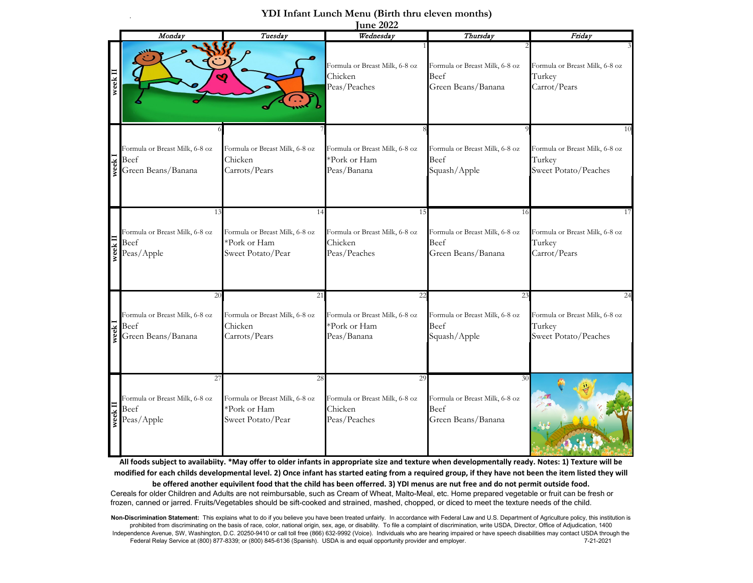## **YDI Infant Lunch Menu (Birth thru eleven months)**

.

|                           | <u> June 2022</u>                                                  |                                                                           |                                                                     |                                                                    |                                                                        |  |  |
|---------------------------|--------------------------------------------------------------------|---------------------------------------------------------------------------|---------------------------------------------------------------------|--------------------------------------------------------------------|------------------------------------------------------------------------|--|--|
|                           | Monday                                                             | Tuesday                                                                   | Wednesday                                                           | Thursday                                                           | Friday                                                                 |  |  |
| week I                    | Ó                                                                  |                                                                           | Formula or Breast Milk, 6-8 oz<br>Chicken<br>Peas/Peaches           | Formula or Breast Milk, 6-8 oz<br>Beef<br>Green Beans/Banana       | Formula or Breast Milk, 6-8 oz<br>Turkey<br>Carrot/Pears               |  |  |
| veek I                    | Formula or Breast Milk, 6-8 oz<br>Beef<br>Green Beans/Banana       | Formula or Breast Milk, 6-8 oz<br>Chicken<br>Carrots/Pears                | Formula or Breast Milk, 6-8 oz<br>*Pork or Ham<br>Peas/Banana       | Formula or Breast Milk, 6-8 oz<br>Beef<br>Squash/Apple             | 10<br>Formula or Breast Milk, 6-8 oz<br>Turkey<br>Sweet Potato/Peaches |  |  |
|                           | 13<br>Formula or Breast Milk, 6-8 oz<br>Beef<br>Peas/Apple         | 14<br>Formula or Breast Milk, 6-8 oz<br>*Pork or Ham<br>Sweet Potato/Pear | 15<br>Formula or Breast Milk, 6-8 oz<br>Chicken<br>Peas/Peaches     | 16<br>Formula or Breast Milk, 6-8 oz<br>Beef<br>Green Beans/Banana | 17<br>Formula or Breast Milk, 6-8 oz<br>Turkey<br>Carrot/Pears         |  |  |
| $\chi$ eek $\overline{1}$ | 20<br>Formula or Breast Milk, 6-8 oz<br>Beef<br>Green Beans/Banana | 21<br>Formula or Breast Milk, 6-8 oz<br>Chicken<br>Carrots/Pears          | 22<br>Formula or Breast Milk, 6-8 oz<br>*Pork or Ham<br>Peas/Banana | 23<br>Formula or Breast Milk, 6-8 oz<br>Beef<br>Squash/Apple       | 24<br>Formula or Breast Milk, 6-8 oz<br>Turkey<br>Sweet Potato/Peaches |  |  |
|                           | 27<br>Formula or Breast Milk, 6-8 oz<br>Beef<br>Peas/Apple         | 28<br>Formula or Breast Milk, 6-8 oz<br>*Pork or Ham<br>Sweet Potato/Pear | 29<br>Formula or Breast Milk, 6-8 oz<br>Chicken<br>Peas/Peaches     | 30<br>Formula or Breast Milk, 6-8 oz<br>Beef<br>Green Beans/Banana |                                                                        |  |  |

**All foods subject to availabiity. \*May offer to older infants in appropriate size and texture when developmentally ready. Notes: 1) Texture will be modified for each childs developmental level. 2) Once infant has started eating from a required group, if they have not been the item listed they will be offered another equivilent food that the child has been offerred. 3) YDI menus are nut free and do not permit outside food.** Cereals for older Children and Adults are not reimbursable, such as Cream of Wheat, Malto-Meal, etc. Home prepared vegetable or fruit can be fresh or frozen, canned or jarred. Fruits/Vegetables should be sift-cooked and strained, mashed, chopped, or diced to meet the texture needs of the child.

Non-Discrimination Statement: This explains what to do if you believe you have been treated unfairly. In accordance with Federal Law and U.S. Department of Agriculture policy, this institution is prohibited from discriminating on the basis of race, color, national origin, sex, age, or disability. To file a complaint of discrimination, write USDA, Director, Office of Adjudication, 1400 Independence Avenue, SW, Washington, D.C. 20250-9410 or call toll free (866) 632-9992 (Voice). Individuals who are hearing impaired or have speech disabilities may contact USDA through the Federal Relay Service at (800) 877-8339; or (800) 845-6136 (Spanish). USDA is and equal opportunity provider and employer. 7-21-2021